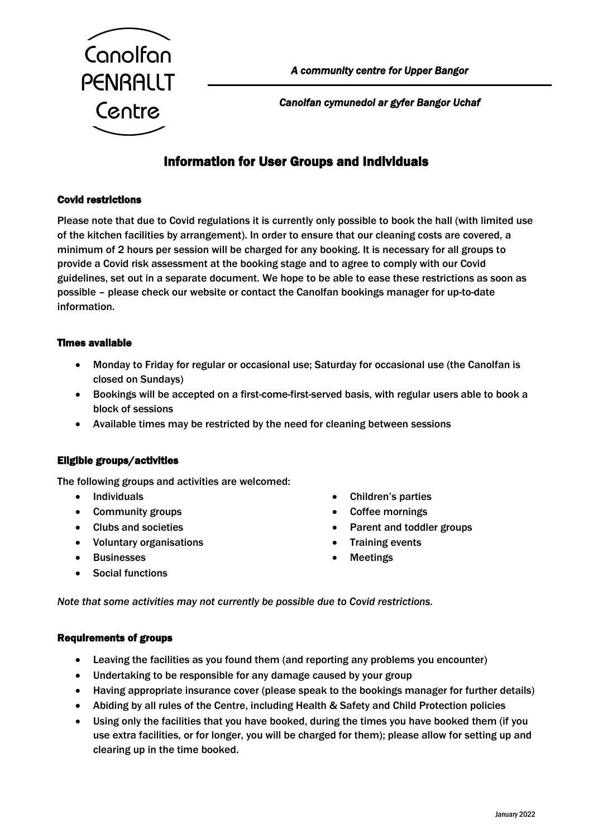

*Canolfan cymunedol ar gyfer Bangor Uchaf* 

# Information for User Groups and Individuals

## Covid restrictions

Please note that due to Covid regulations it is currently only possible to book the hall (with limited use of the kitchen facilities by arrangement). In order to ensure that our cleaning costs are covered, a minimum of 2 hours per session will be charged for any booking. It is necessary for all groups to provide a Covid risk assessment at the booking stage and to agree to comply with our Covid guidelines, set out in a separate document. We hope to be able to ease these restrictions as soon as possible – please check our website or contact the Canolfan bookings manager for up-to-date information.

## Times available

- Monday to Friday for regular or occasional use; Saturday for occasional use (the Canolfan is closed on Sundays)
- Bookings will be accepted on a first-come-first-served basis, with regular users able to book a block of sessions
- Available times may be restricted by the need for cleaning between sessions

## Eligible groups/activities

The following groups and activities are welcomed:

- Individuals
- Community groups
- Clubs and societies
- Voluntary organisations
- Businesses
- Social functions
- Children's parties
- Coffee mornings
- Parent and toddler groups
- **Training events**
- **Meetings**

*Note that some activities may not currently be possible due to Covid restrictions.*

#### Requirements of groups

- Leaving the facilities as you found them (and reporting any problems you encounter)
- Undertaking to be responsible for any damage caused by your group
- Having appropriate insurance cover (please speak to the bookings manager for further details)
- Abiding by all rules of the Centre, including Health & Safety and Child Protection policies
- Using only the facilities that you have booked, during the times you have booked them (if you use extra facilities, or for longer, you will be charged for them); please allow for setting up and clearing up in the time booked.